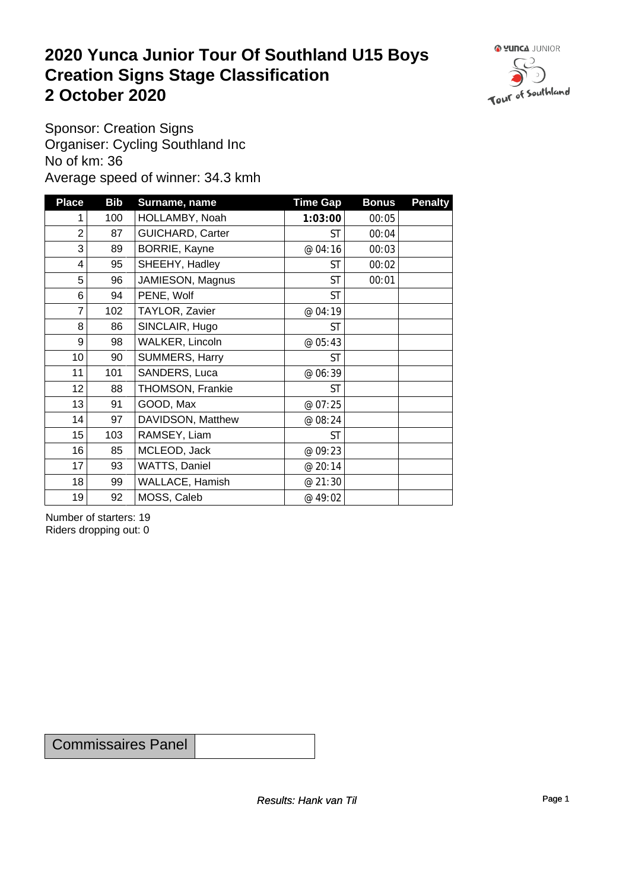#### **2020 Yunca Junior Tour Of Southland U15 Boys Creation Signs Stage Classification**<br>
2 October 2020 **2 October 2020**



Sponsor: Creation Signs Organiser: Cycling Southland Inc No of km: 36 Average speed of winner: 34.3 kmh

| <b>Place</b>    | <b>Bib</b> | Surname, name           | <b>Time Gap</b> | <b>Bonus</b> | <b>Penalty</b> |
|-----------------|------------|-------------------------|-----------------|--------------|----------------|
| 1               | 100        | HOLLAMBY, Noah          | 1:03:00         | 00:05        |                |
| $\overline{2}$  | 87         | <b>GUICHARD, Carter</b> | <b>ST</b>       | 00:04        |                |
| 3               | 89         | BORRIE, Kayne           | @ 04:16         | 00:03        |                |
| $\overline{4}$  | 95         | SHEEHY, Hadley          | <b>ST</b>       | 00:02        |                |
| 5               | 96         | JAMIESON, Magnus        | <b>ST</b>       | 00:01        |                |
| 6               | 94         | PENE, Wolf              | <b>ST</b>       |              |                |
| $\overline{7}$  | 102        | TAYLOR, Zavier          | @ 04:19         |              |                |
| 8               | 86         | SINCLAIR, Hugo          | <b>ST</b>       |              |                |
| 9               | 98         | WALKER, Lincoln         | @ 05:43         |              |                |
| 10 <sup>1</sup> | 90         | SUMMERS, Harry          | <b>ST</b>       |              |                |
| 11              | 101        | SANDERS, Luca           | @ 06:39         |              |                |
| 12              | 88         | THOMSON, Frankie        | <b>ST</b>       |              |                |
| 13              | 91         | GOOD, Max               | @ 07:25         |              |                |
| 14              | 97         | DAVIDSON, Matthew       | @ 08:24         |              |                |
| 15              | 103        | RAMSEY, Liam            | <b>ST</b>       |              |                |
| 16              | 85         | MCLEOD, Jack            | @ 09:23         |              |                |
| 17              | 93         | WATTS, Daniel           | @ 20:14         |              |                |
| 18              | 99         | WALLACE, Hamish         | @ 21:30         |              |                |
| 19              | 92         | MOSS, Caleb             | @ 49:02         |              |                |

Number of starters: 19 Riders dropping out: 0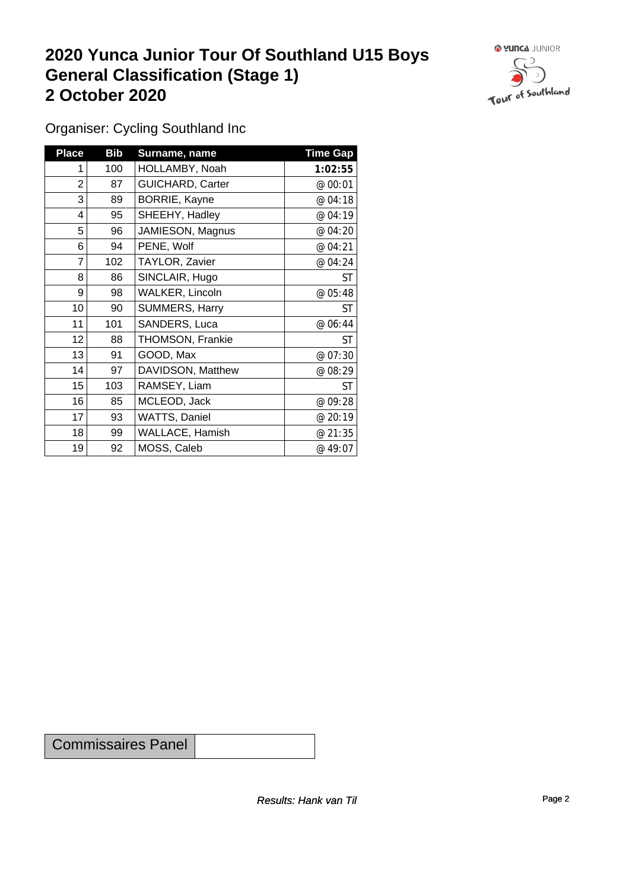#### **2020 Yunca Junior Tour Of Southland U15 Boys General Classification (Stage 1)**<br>
2 October 2020 **2 October 2020**



Organiser: Cycling Southland Inc

| <b>Place</b>   | <b>Bib</b> | Surname, name           | <b>Time Gap</b> |
|----------------|------------|-------------------------|-----------------|
| 1              | 100        | HOLLAMBY, Noah          | 1:02:55         |
| $\overline{2}$ | 87         | <b>GUICHARD, Carter</b> | @ 00:01         |
| 3              | 89         | BORRIE, Kayne           | @ 04:18         |
| 4              | 95         | SHEEHY, Hadley          | @ 04:19         |
| 5              | 96         | JAMIESON, Magnus        | @ 04:20         |
| 6              | 94         | PENE, Wolf              | @ 04:21         |
| 7              | 102        | TAYLOR, Zavier          | @ 04:24         |
| 8              | 86         | SINCLAIR, Hugo          | <b>ST</b>       |
| 9              | 98         | WALKER, Lincoln         | @ 05:48         |
| 10             | 90         | SUMMERS, Harry          | <b>ST</b>       |
| 11             | 101        | SANDERS, Luca           | @ 06:44         |
| 12             | 88         | THOMSON, Frankie        | ST              |
| 13             | 91         | GOOD, Max               | @ 07:30         |
| 14             | 97         | DAVIDSON, Matthew       | @ 08:29         |
| 15             | 103        | RAMSEY, Liam            | ST              |
| 16             | 85         | MCLEOD, Jack            | @ 09:28         |
| 17             | 93         | WATTS, Daniel           | @ 20:19         |
| 18             | 99         | <b>WALLACE, Hamish</b>  | @ 21:35         |
| 19             | 92         | MOSS, Caleb             | @ 49:07         |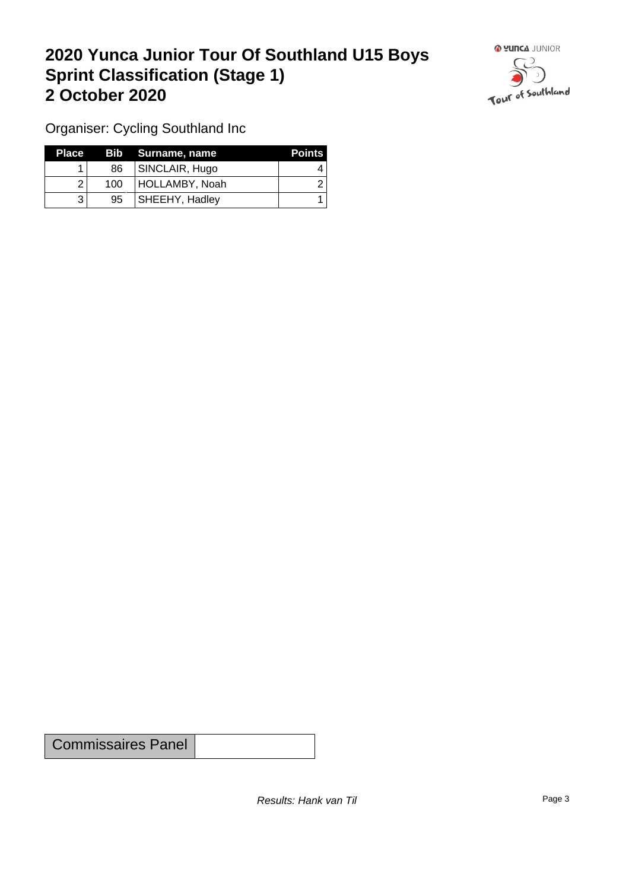## **2020 Yunca Junior Tour Of Southland U15 Boys Sprint Classification (Stage 1) 2 October 2020**



Organiser: Cycling Southland Inc

| <b>Place</b> |     | Bib Surname, name     | <b>Points</b> |
|--------------|-----|-----------------------|---------------|
|              | 86  | SINCLAIR, Hugo        |               |
|              | 100 | HOLLAMBY, Noah        |               |
| າ            | 95  | <b>SHEEHY, Hadley</b> |               |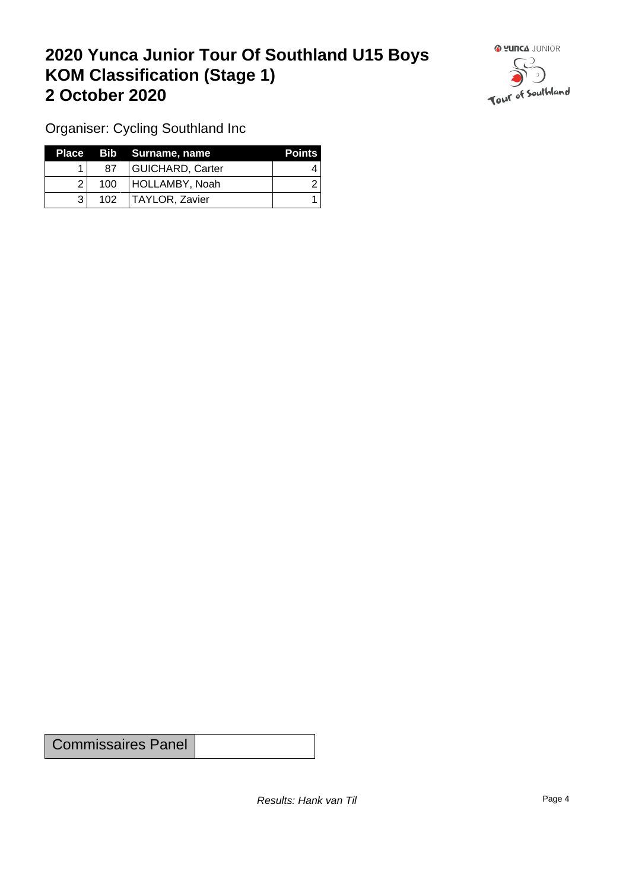## **2020 Yunca Junior Tour Of Southland U15 Boys KOM Classification (Stage 1) 2 October 2020**



Organiser: Cycling Southland Inc

|                  | Place Bib Surname, name | <b>Points</b> |
|------------------|-------------------------|---------------|
| 87               | GUICHARD, Carter        |               |
| 100 <sup>1</sup> | HOLLAMBY, Noah          |               |
| 102              | TAYLOR, Zavier          |               |